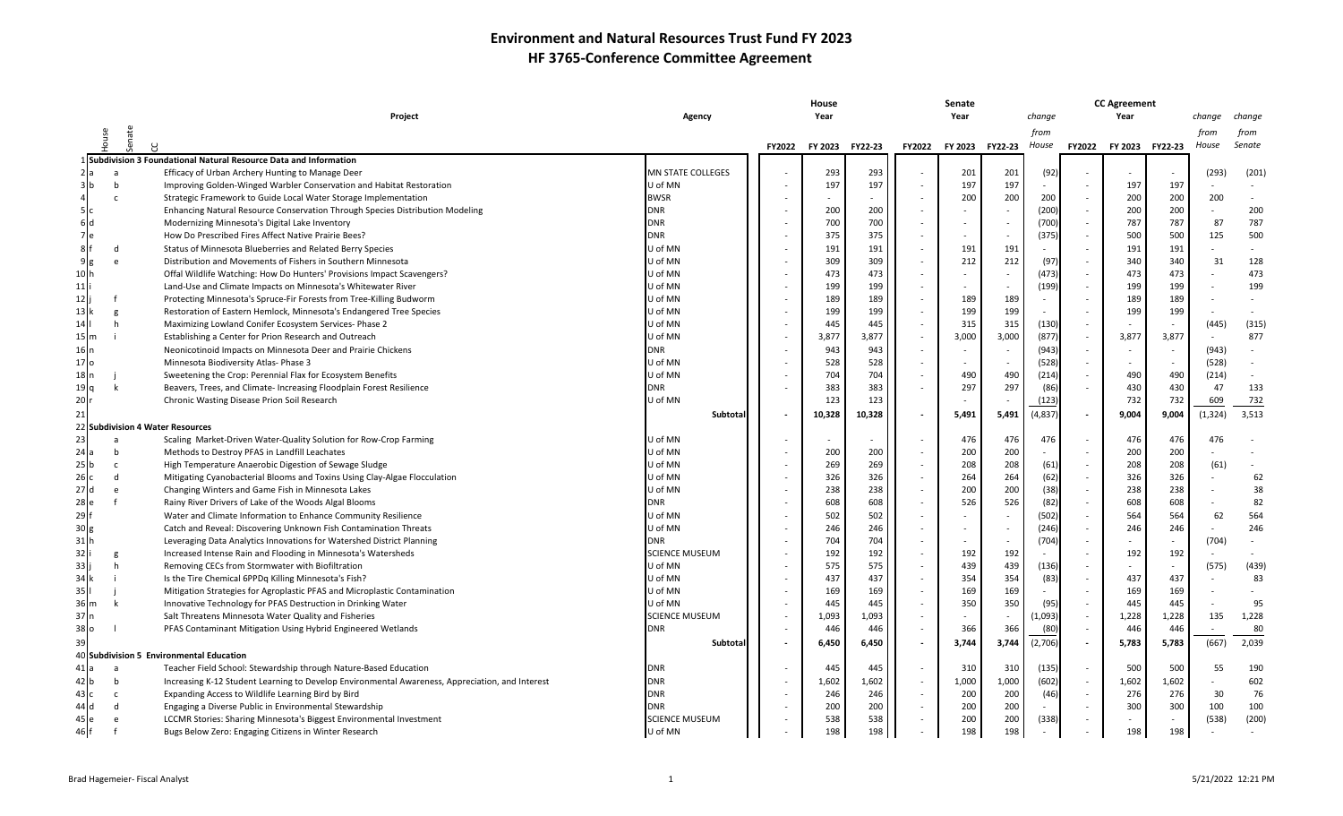|                 |                 |                                                                                                 |                       | House                    |         |                |               | Senate |                  |          |                | <b>CC Agreement</b>      |                          |          |        |
|-----------------|-----------------|-------------------------------------------------------------------------------------------------|-----------------------|--------------------------|---------|----------------|---------------|--------|------------------|----------|----------------|--------------------------|--------------------------|----------|--------|
|                 |                 | Project                                                                                         | Agency                |                          |         |                |               | Year   |                  |          | change<br>Year |                          |                          | change   | change |
|                 |                 |                                                                                                 |                       |                          |         |                |               |        |                  | from     |                |                          |                          | from     | from   |
|                 | Senate<br>House |                                                                                                 |                       | <b>FY2022</b>            | FY 2023 | <b>FY22-23</b> | <b>FY2022</b> |        | FY 2023 FY 22-23 | House    | <b>FY2022</b>  | <b>FY 2023</b>           | FY22-23                  | House    | Senate |
|                 |                 | Subdivision 3 Foundational Natural Resource Data and Information                                |                       |                          |         |                |               |        |                  |          |                |                          |                          |          |        |
| :la             | a               | Efficacy of Urban Archery Hunting to Manage Deer                                                | MN STATE COLLEGES     |                          | 293     | 293            |               | 201    | 201              | (92)     |                | $\overline{\phantom{a}}$ |                          | (293)    | (201)  |
| 3b              | $\mathbf b$     | Improving Golden-Winged Warbler Conservation and Habitat Restoration                            | U of MN               |                          | 197     | 197            |               | 197    | 197              |          |                | 197                      | 197                      |          |        |
|                 | C.              | Strategic Framework to Guide Local Water Storage Implementation                                 | <b>BWSR</b>           |                          |         |                |               | 200    | 200              | 200      |                | 200                      | 200                      | 200      |        |
| 5 Ic            |                 | Enhancing Natural Resource Conservation Through Species Distribution Modeling                   | <b>DNR</b>            |                          | 200     | 200            |               |        |                  | (200)    |                | 200                      | 200                      |          | 200    |
| 6d              |                 | Modernizing Minnesota's Digital Lake Inventory                                                  | <b>DNR</b>            |                          | 700     | 700            |               |        | $\sim$           | (700)    |                | 787                      | 787                      | 87       | 787    |
| 7e              |                 | How Do Prescribed Fires Affect Native Prairie Bees?                                             | DNR                   |                          | 375     | 375            |               |        | $\sim$           | (375)    |                | 500                      | 500                      | 125      | 500    |
| 8 <sub>f</sub>  | d               | Status of Minnesota Blueberries and Related Berry Species                                       | U of MN               |                          | 191     | 191            |               | 191    | 191              | $\sim$   |                | 191                      | 191                      |          |        |
| 9 <sub>g</sub>  | e               | Distribution and Movements of Fishers in Southern Minnesota                                     | U of MN               |                          | 309     | 309            |               | 212    | 212              | (97)     |                | 340                      | 340                      | 31       | 128    |
|                 |                 | Offal Wildlife Watching: How Do Hunters' Provisions Impact Scavengers?                          | U of MN               |                          | 473     | 473            |               |        | $\sim$           | (473)    |                | 473                      | 473                      |          | 473    |
| 11 li           |                 | Land-Use and Climate Impacts on Minnesota's Whitewater River                                    | U of MN               |                          | 199     | 199            |               |        | $\sim$           | (199)    |                | 199                      | 199                      |          | 199    |
| 12 li           |                 | Protecting Minnesota's Spruce-Fir Forests from Tree-Killing Budworm                             | U of MN               |                          | 189     | 189            |               | 189    | 189              |          |                | 189                      | 189                      |          |        |
|                 |                 | Restoration of Eastern Hemlock, Minnesota's Endangered Tree Species                             | U of MN               |                          | 199     | 199            |               | 199    | 199              |          |                | 199                      | 199                      |          |        |
|                 | h               | Maximizing Lowland Conifer Ecosystem Services-Phase 2                                           | U of MN               |                          | 445     | 445            |               | 315    | 315              | (130)    |                |                          |                          | (445)    | (315)  |
| 15 <b>I</b> m   |                 | Establishing a Center for Prion Research and Outreach                                           | U of MN               |                          | 3,877   | 3,877          |               | 3,000  | 3,000            | (877)    |                | 3,877                    | 3,877                    |          | 877    |
| 16 In           |                 | Neonicotinoid Impacts on Minnesota Deer and Prairie Chickens                                    | <b>DNR</b>            |                          | 943     | 943            |               |        |                  | (943)    |                |                          |                          | (943)    |        |
| 17 lo           |                 | Minnesota Biodiversity Atlas- Phase 3                                                           | U of MN               |                          | 528     | 528            |               |        |                  | (528)    |                |                          |                          | (528)    |        |
| 18 n            |                 | Sweetening the Crop: Perennial Flax for Ecosystem Benefits                                      | U of MN               |                          | 704     | 704            |               | 490    | 490              | (214)    |                | 490                      | 490                      | (214)    |        |
| 'lq             | k               | Beavers, Trees, and Climate- Increasing Floodplain Forest Resilience                            | DNR                   |                          | 383     | 383            |               | 297    | 297              | (86)     |                | 430                      | 430                      | 47       | 133    |
| 20 r            |                 | Chronic Wasting Disease Prion Soil Research                                                     | U of MN               |                          | 123     | 123            |               |        |                  | (123)    |                | 732                      | 732                      | 609      | 732    |
|                 |                 |                                                                                                 | Subtotal              |                          | 10,328  | 10,328         |               | 5,491  | 5,491            | (4, 837) |                | 9,004                    | 9,004                    | (1, 324) | 3,513  |
|                 |                 | <b>Subdivision 4 Water Resources</b>                                                            |                       |                          |         |                |               |        |                  |          |                |                          |                          |          |        |
|                 | a               | Scaling Market-Driven Water-Quality Solution for Row-Crop Farming                               | U of MN               |                          |         |                |               | 476    | 476              | 476      |                | 476                      | 476                      | 476      |        |
|                 | b               | Methods to Destroy PFAS in Landfill Leachates                                                   | U of MN               |                          | 200     | 200            |               | 200    | 200              |          |                | 200                      | 200                      |          |        |
|                 | c               | High Temperature Anaerobic Digestion of Sewage Sludge                                           | U of MN               |                          | 269     | 269            |               | 208    | 208              | (61)     |                | 208                      | 208                      | (61)     |        |
| 26 c            | d               | Mitigating Cyanobacterial Blooms and Toxins Using Clay-Algae Flocculation                       | U of MN               |                          | 326     | 326            |               | 264    | 264              | (62)     |                | 326                      | 326                      |          | 62     |
|                 | e               | Changing Winters and Game Fish in Minnesota Lakes                                               | U of MN               |                          | 238     | 238            |               | 200    | 200              | (38)     |                | 238                      | 238                      |          | 38     |
| 28 e            |                 | Rainy River Drivers of Lake of the Woods Algal Blooms                                           | DNR                   |                          | 608     | 608            |               | 526    | 526              | (82)     |                | 608                      | 608                      |          | 82     |
| 29              |                 | Water and Climate Information to Enhance Community Resilience                                   | U of MN               |                          | 502     | 502            |               |        |                  | (502)    |                | 564                      | 564                      | 62       | 564    |
| 30 <sub>g</sub> |                 | Catch and Reveal: Discovering Unknown Fish Contamination Threats                                | U of MN               |                          | 246     | 246            |               |        | $\sim$           | (246)    |                | 246                      | 246                      |          | 246    |
| 31 h            |                 | Leveraging Data Analytics Innovations for Watershed District Planning                           | DNR                   |                          | 704     | 704            |               |        | $\sim$           | (704)    |                |                          | $\overline{\phantom{a}}$ | (704)    |        |
| 32              |                 | Increased Intense Rain and Flooding in Minnesota's Watersheds                                   | SCIENCE MUSEUM        |                          | 192     | 192            |               | 192    | 192              |          |                | 192                      | 192                      |          |        |
| 33              |                 | Removing CECs from Stormwater with Biofiltration                                                | U of MN               |                          | 575     | 575            |               | 439    | 439              | (136)    |                |                          | $\overline{\phantom{0}}$ | (575)    | (439)  |
|                 |                 | Is the Tire Chemical 6PPDq Killing Minnesota's Fish?                                            | U of MN               |                          | 437     | 437            |               | 354    | 354              | (83)     |                | 437                      | 437                      |          | 83     |
|                 |                 | Mitigation Strategies for Agroplastic PFAS and Microplastic Contamination                       | U of MN               |                          | 169     | 169            |               | 169    | 169              |          |                | 169                      | 169                      |          |        |
| 36<br>m         | k               | Innovative Technology for PFAS Destruction in Drinking Water                                    | U of MN               |                          | 445     | 445            |               | 350    | 350              | (95)     |                | 445                      | 445                      |          | 95     |
| 37 In           |                 | Salt Threatens Minnesota Water Quality and Fisheries                                            | <b>SCIENCE MUSEUM</b> |                          | 1,093   | 1,093          |               |        |                  | (1,093)  |                | 1,228                    | 1,228                    | 135      | 1,228  |
| 38 O            |                 | PFAS Contaminant Mitigation Using Hybrid Engineered Wetlands                                    | <b>DNR</b>            |                          | 446     | 446            |               | 366    | 366              | (80)     |                | 446                      | 446                      |          | 80     |
|                 |                 |                                                                                                 | Subtotal              | $\overline{\phantom{a}}$ | 6,450   | 6,450          |               | 3,744  | 3,744            | (2,706)  |                | 5,783                    | 5,783                    | (667)    | 2,039  |
| 40              |                 | Subdivision 5 Environmental Education                                                           |                       |                          |         |                |               |        |                  |          |                |                          |                          |          |        |
|                 |                 | Teacher Field School: Stewardship through Nature-Based Education                                | <b>DNR</b>            |                          | 445     | 445            |               | 310    | 310              | (135)    |                | 500                      | 500                      | 55       | 190    |
|                 | b               | Increasing K-12 Student Learning to Develop Environmental Awareness, Appreciation, and Interest | <b>DNR</b>            |                          | 1,602   | 1,602          |               | 1,000  | 1,000            | (602)    |                | 1,602                    | 1,602                    |          | 602    |
| 43 I.C          | c               | Expanding Access to Wildlife Learning Bird by Bird                                              | <b>DNR</b>            |                          | 246     | 246            |               | 200    | 200              | (46)     |                | 276                      | 276                      | 30       | 76     |
|                 |                 | Engaging a Diverse Public in Environmental Stewardship                                          | DNR                   |                          | 200     | 200            |               | 200    | 200              |          |                | 300                      | 300                      | 100      | 100    |
| 45 Ie           |                 | LCCMR Stories: Sharing Minnesota's Biggest Environmental Investment                             | <b>SCIENCE MUSEUM</b> |                          | 538     | 538            |               | 200    | 200              | (338)    |                |                          |                          | (538)    | (200)  |
| 46 F            |                 | Bugs Below Zero: Engaging Citizens in Winter Research                                           | U of MN               |                          | 198     | 198            |               | 198    | 198              |          |                | 198                      | 198                      |          |        |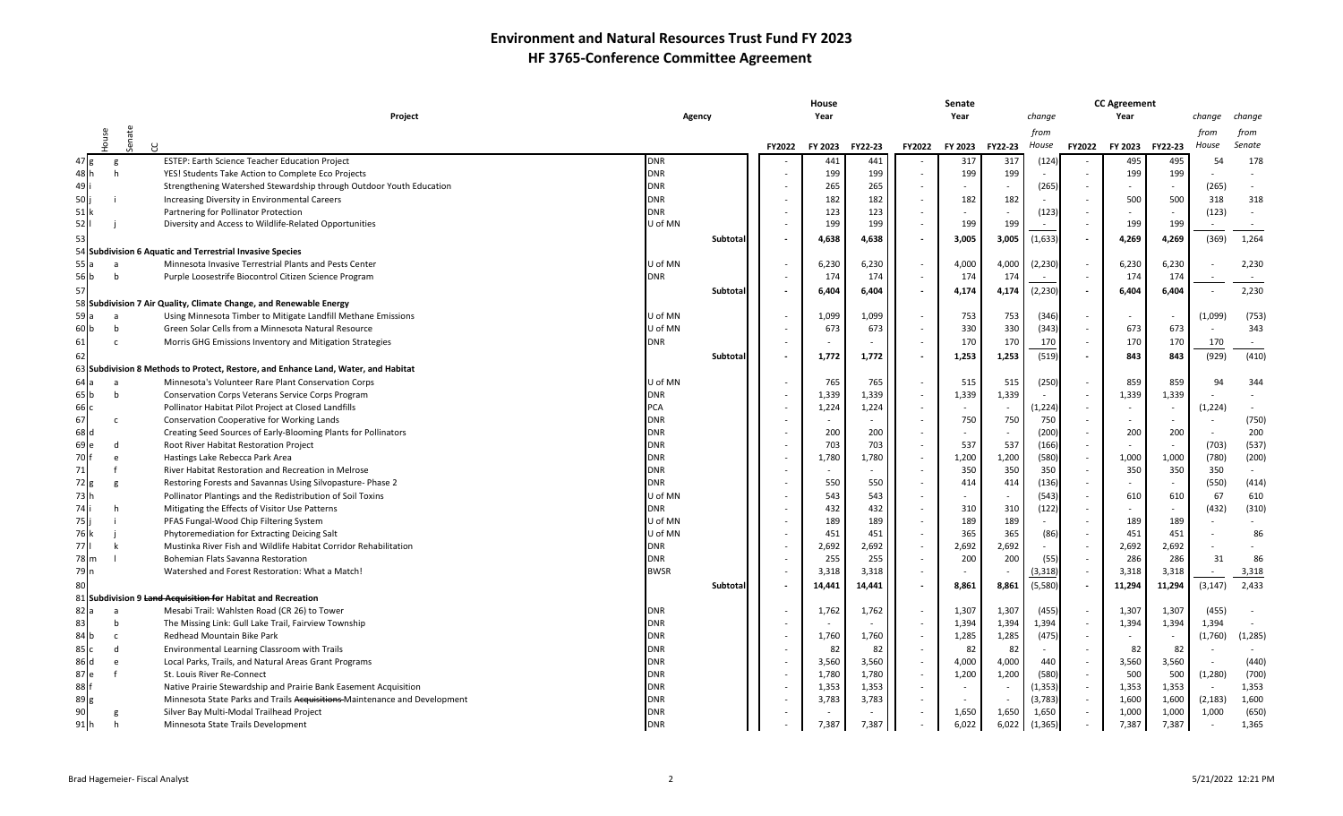|                   |        |            |                                                                                    |             |          |               | House   |         |               | Senate  |         |          |               | <b>CC Agreement</b> |         |          |          |
|-------------------|--------|------------|------------------------------------------------------------------------------------|-------------|----------|---------------|---------|---------|---------------|---------|---------|----------|---------------|---------------------|---------|----------|----------|
|                   |        |            | <b>Project</b>                                                                     | Agency      |          |               | Year    |         |               | Year    |         | change   |               | Year                |         | change   | change   |
|                   |        |            |                                                                                    |             |          |               |         |         |               |         |         | from     |               |                     |         | from     | from     |
|                   | ouse   | enate<br>R |                                                                                    |             |          | <b>FY2022</b> | FY 2023 | FY22-23 | <b>FY2022</b> | FY 2023 | FY22-23 | House    | <b>FY2022</b> | FY 2023             | FY22-23 | House    | Senate   |
|                   |        |            | ESTEP: Earth Science Teacher Education Project                                     | <b>DNR</b>  |          |               | 441     | 441     |               | 317     | 317     | (124)    |               | 495                 | 495     | 54       | 178      |
| 48 h              | g<br>h |            | YES! Students Take Action to Complete Eco Projects                                 | <b>DNR</b>  |          |               | 199     | 199     |               | 199     | 199     |          |               | 199                 | 199     |          |          |
|                   |        |            |                                                                                    | <b>DNR</b>  |          |               | 265     | 265     |               |         |         | (265)    |               |                     |         | (265)    |          |
| 49 I              |        |            | Strengthening Watershed Stewardship through Outdoor Youth Education                | <b>DNR</b>  |          |               |         |         |               |         |         |          |               |                     | 500     |          |          |
| 50                |        |            | Increasing Diversity in Environmental Careers                                      |             |          |               | 182     | 182     |               | 182     | 182     |          |               | 500                 |         | 318      | 318      |
| $51$ <sup>k</sup> |        |            | Partnering for Pollinator Protection                                               | <b>DNR</b>  |          |               | 123     | 123     |               |         |         | (123)    |               |                     |         | (123)    |          |
| 52                |        |            | Diversity and Access to Wildlife-Related Opportunities                             | U of MN     |          |               | 199     | 199     |               | 199     | 199     |          |               | 199                 | 199     |          |          |
| 53                |        |            |                                                                                    |             | Subtotal |               | 4,638   | 4,638   |               | 3,005   | 3,005   | (1,633)  |               | 4,269               | 4,269   | (369)    | 1,264    |
|                   |        |            | 54 Subdivision 6 Aquatic and Terrestrial Invasive Species                          |             |          |               |         |         |               |         |         |          |               |                     |         |          |          |
|                   | a      |            | Minnesota Invasive Terrestrial Plants and Pests Center                             | U of MN     |          |               | 6,230   | 6,230   | $\sim$        | 4,000   | 4,000   | (2, 230) |               | 6,230               | 6,230   |          | 2,230    |
| 56 b              | b      |            | Purple Loosestrife Biocontrol Citizen Science Program                              | <b>DNR</b>  |          |               | 174     | 174     |               | 174     | 174     |          |               | 174                 | 174     |          |          |
| 57                |        |            |                                                                                    |             | Subtota  |               | 6,404   | 6,404   |               | 4,174   | 4,174   | (2, 230) |               | 6,404               | 6,404   |          | 2,230    |
|                   |        |            | 58 Subdivision 7 Air Quality, Climate Change, and Renewable Energy                 |             |          |               |         |         |               |         |         |          |               |                     |         |          |          |
| 59 a              | a      |            | Using Minnesota Timber to Mitigate Landfill Methane Emissions                      | U of MN     |          |               | 1,099   | 1,099   |               | 753     | 753     | (346)    |               | $\sim$              |         | (1,099)  | (753)    |
| 60 b              | b      |            | Green Solar Cells from a Minnesota Natural Resource                                | U of MN     |          |               | 673     | 673     |               | 330     | 330     | (343)    |               | 673                 | 673     |          | 343      |
| 61                | c      |            | Morris GHG Emissions Inventory and Mitigation Strategies                           | <b>DNR</b>  |          |               |         |         |               | 170     | 170     | 170      |               | 170                 | 170     | 170      |          |
| <b>62</b>         |        |            |                                                                                    |             | Subtota  |               | 1,772   | 1,772   |               | 1,253   | 1,253   | (519)    |               | 843                 | 843     | (929)    | (410)    |
|                   |        |            | 63 Subdivision 8 Methods to Protect, Restore, and Enhance Land, Water, and Habitat |             |          |               |         |         |               |         |         |          |               |                     |         |          |          |
| 64 la             | a      |            | Minnesota's Volunteer Rare Plant Conservation Corps                                | U of MN     |          |               | 765     | 765     |               | 515     | 515     | (250)    |               | 859                 | 859     | 94       | 344      |
| 65 lb             | b      |            | Conservation Corps Veterans Service Corps Program                                  | <b>DNR</b>  |          |               | 1,339   | 1,339   |               | 1,339   | 1,339   |          |               | 1,339               | 1,339   |          |          |
|                   |        |            |                                                                                    | <b>PCA</b>  |          |               |         |         |               |         |         |          |               | $\sim$              |         |          |          |
| 66 c              |        |            | Pollinator Habitat Pilot Project at Closed Landfills                               |             |          |               | 1,224   | 1,224   |               |         |         | (1, 224) |               |                     |         | (1, 224) |          |
| 67                | C.     |            | <b>Conservation Cooperative for Working Lands</b>                                  | <b>DNR</b>  |          |               |         |         |               | 750     | 750     | 750      |               |                     |         |          | (750)    |
| 68 Ic             |        |            | Creating Seed Sources of Early-Blooming Plants for Pollinators                     | <b>DNR</b>  |          |               | 200     | 200     |               |         |         | (200)    |               | 200                 | 200     |          | 200      |
| $69$ e            | d      |            | Root River Habitat Restoration Project                                             | <b>DNR</b>  |          |               | 703     | 703     |               | 537     | 537     | (166)    |               |                     |         | (703)    | (537)    |
| 70                | e      |            | Hastings Lake Rebecca Park Area                                                    | <b>DNR</b>  |          |               | 1,780   | 1,780   |               | 1,200   | 1,200   | (580)    |               | 1,000               | 1,000   | (780)    | (200)    |
| 71                |        |            | River Habitat Restoration and Recreation in Melrose                                | <b>DNR</b>  |          |               |         |         |               | 350     | 350     | 350      |               | 350                 | 350     | 350      |          |
| 72 g              |        |            | Restoring Forests and Savannas Using Silvopasture- Phase 2                         | <b>DNR</b>  |          |               | 550     | 550     |               | 414     | 414     | (136)    |               | $\sim$              |         | (550)    | (414)    |
| 73 I h            |        |            | Pollinator Plantings and the Redistribution of Soil Toxins                         | U of MN     |          |               | 543     | 543     |               |         |         | (543)    |               | 610                 | 610     | 67       | 610      |
| 74                |        |            | Mitigating the Effects of Visitor Use Patterns                                     | <b>DNR</b>  |          |               | 432     | 432     |               | 310     | 310     | (122)    |               |                     |         | (432)    | (310)    |
| 75                |        |            | PFAS Fungal-Wood Chip Filtering System                                             | U of MN     |          |               | 189     | 189     |               | 189     | 189     |          |               | 189                 | 189     |          |          |
|                   |        |            | Phytoremediation for Extracting Deicing Salt                                       | U of MN     |          |               | 451     | 451     |               | 365     | 365     | (86)     |               | 451                 | 451     |          | 86       |
| 77 I              |        |            | Mustinka River Fish and Wildlife Habitat Corridor Rehabilitation                   | <b>DNR</b>  |          |               | 2,692   | 2,692   |               | 2,692   | 2,692   |          |               | 2,692               | 2,692   |          |          |
| 78 m              |        |            | Bohemian Flats Savanna Restoration                                                 | <b>DNR</b>  |          |               | 255     | 255     |               | 200     | 200     | (55)     |               | 286                 | 286     | 31       | 86       |
| 79 n              |        |            | Watershed and Forest Restoration: What a Match!                                    | <b>BWSR</b> |          |               | 3,318   | 3,318   |               |         |         | (3, 318) |               | 3,318               | 3,318   |          | 3,318    |
| 80                |        |            |                                                                                    |             | Subtota  |               | 14,441  | 14,441  |               | 8,861   | 8,861   | (5,580)  |               | 11,294              | 11,294  | (3, 147) | 2,433    |
|                   |        |            | 81 Subdivision 9 Land Acquisition for Habitat and Recreation                       |             |          |               |         |         |               |         |         |          |               |                     |         |          |          |
| 82 la             | a      |            | Mesabi Trail: Wahlsten Road (CR 26) to Tower                                       | <b>DNR</b>  |          |               | 1,762   | 1,762   |               | 1,307   | 1,307   | (455)    |               | 1,307               | 1,307   | (455)    |          |
| 831               | h      |            | The Missing Link: Gull Lake Trail, Fairview Township                               | <b>DNR</b>  |          |               |         |         |               | 1,394   | 1,394   | 1,394    |               | 1,394               | 1,394   | 1,394    |          |
|                   | c      |            | Redhead Mountain Bike Park                                                         | <b>DNR</b>  |          |               | 1,760   | 1,760   |               | 1,285   | 1,285   | (475)    |               | $\sim$              |         | (1,760)  | (1, 285) |
| 85 I c            | d      |            | Environmental Learning Classroom with Trails                                       | <b>DNR</b>  |          |               | 82      | 82      |               | 82      | 82      |          |               | 82                  | 82      |          |          |
| 86 Id             | e      |            | Local Parks, Trails, and Natural Areas Grant Programs                              | <b>DNR</b>  |          |               | 3,560   | 3,560   |               | 4,000   | 4,000   | 440      |               | 3,560               | 3,560   |          | (440)    |
| 87 e              |        |            | St. Louis River Re-Connect                                                         | <b>DNR</b>  |          |               | 1,780   | 1,780   |               | 1,200   | 1,200   | (580)    |               | 500                 | 500     | (1, 280) | (700)    |
| 881               |        |            | Native Prairie Stewardship and Prairie Bank Easement Acquisition                   | <b>DNR</b>  |          |               | 1,353   | 1,353   |               |         |         | (1, 353) |               | 1,353               | 1,353   |          | 1,353    |
| 89 <sub>g</sub>   |        |            | Minnesota State Parks and Trails Acquisitions-Maintenance and Development          | <b>DNR</b>  |          |               | 3,783   | 3,783   |               |         |         | (3, 783) |               | 1,600               | 1,600   | (2, 183) | 1,600    |
| 90                |        |            | Silver Bay Multi-Modal Trailhead Project                                           | <b>DNR</b>  |          |               |         |         |               | 1,650   | 1,650   | 1,650    |               | 1,000               | 1,000   | 1,000    | (650)    |
| 91 h              | h      |            | Minnesota State Trails Development                                                 | <b>DNR</b>  |          |               | 7,387   | 7,387   |               | 6,022   | 6,022   | (1, 365) |               | 7,387               | 7,387   |          | 1,365    |
|                   |        |            |                                                                                    |             |          |               |         |         |               |         |         |          |               |                     |         |          |          |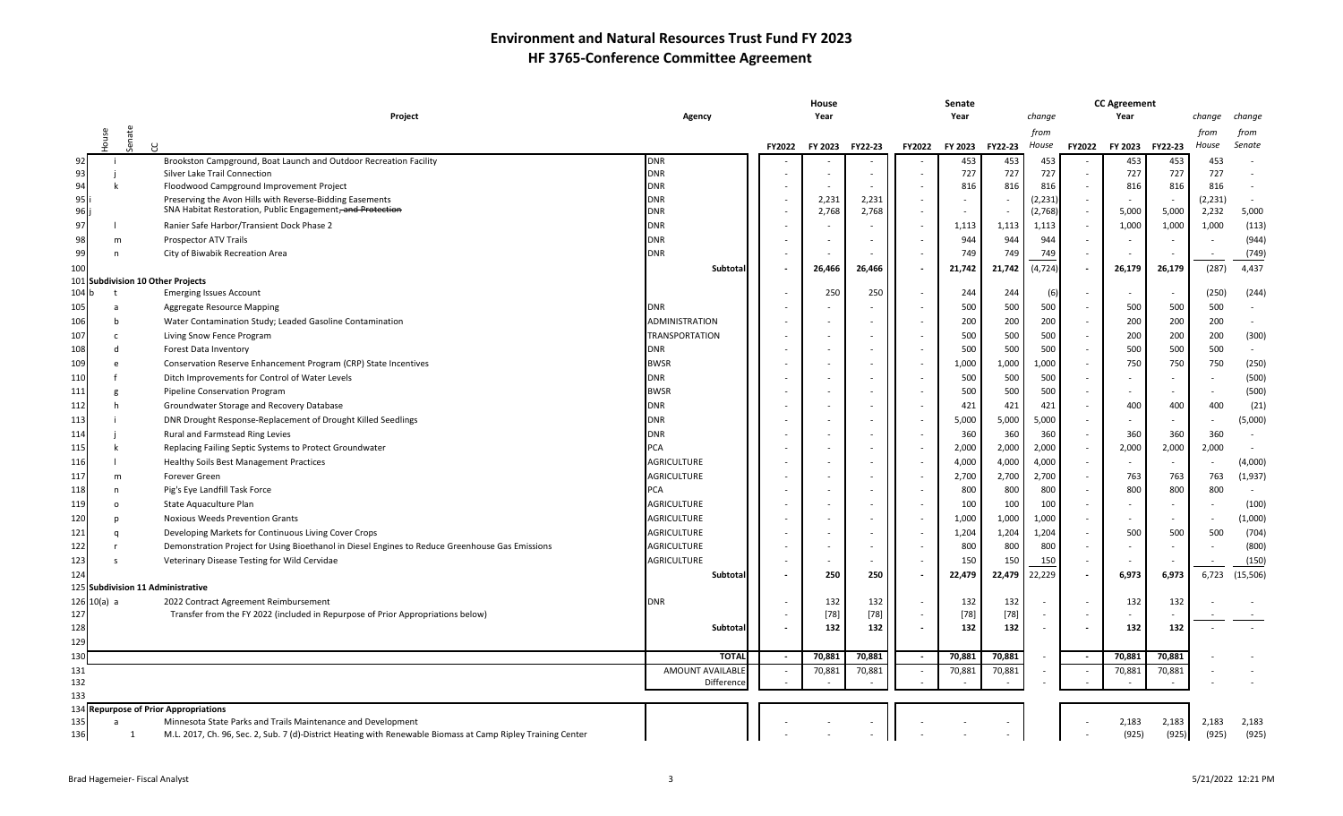|       |               |        |                                                                                                                                                                              |                       | House  |                          |                |               |         |         |          | <b>CC Agreement</b> |                          |         |          |                |  |
|-------|---------------|--------|------------------------------------------------------------------------------------------------------------------------------------------------------------------------------|-----------------------|--------|--------------------------|----------------|---------------|---------|---------|----------|---------------------|--------------------------|---------|----------|----------------|--|
|       |               |        | Project                                                                                                                                                                      | Agency                |        | Year                     |                |               | Year    |         | change   |                     | Year                     |         | change   | change         |  |
|       | louse         | senate |                                                                                                                                                                              |                       |        |                          |                |               |         |         | from     |                     |                          |         | from     | from           |  |
|       |               | R      |                                                                                                                                                                              |                       | FY2022 | FY 2023                  | <b>FY22-23</b> | <b>FY2022</b> | FY 2023 | FY22-23 | House    | FY2022              | <b>FY 2023</b>           | FY22-23 | House    | Senate         |  |
| 92    |               |        | Brookston Campground, Boat Launch and Outdoor Recreation Facility                                                                                                            | <b>DNR</b>            |        |                          |                |               | 453     | 453     | 453      |                     | 453                      | 453     | 453      |                |  |
| 93    |               |        | Silver Lake Trail Connection                                                                                                                                                 | <b>DNR</b>            |        |                          |                |               | 727     | 727     | 727      |                     | 727                      | 727     | 727      |                |  |
| 94    |               |        | Floodwood Campground Improvement Project                                                                                                                                     | <b>DNR</b>            |        |                          |                |               | 816     | 816     | 816      |                     | 816                      | 816     | 816      |                |  |
| 95    |               |        | Preserving the Avon Hills with Reverse-Bidding Easements<br>SNA Habitat Restoration, Public Engagement, and Protection                                                       | <b>DNR</b>            |        | 2,231                    | 2,231          |               |         |         | (2, 231) |                     |                          |         | (2, 231) |                |  |
| 96    |               |        |                                                                                                                                                                              | <b>DNR</b>            |        | 2,768                    | 2,768          |               |         |         | (2,768)  |                     | 5,000                    | 5,000   | 2,232    | 5,000          |  |
| 97    |               |        | Ranier Safe Harbor/Transient Dock Phase 2                                                                                                                                    | <b>DNR</b>            |        |                          |                |               | 1,113   | 1,113   | 1,113    |                     | 1,000                    | 1,000   | 1,000    | (113)          |  |
| 98    | m             |        | Prospector ATV Trails                                                                                                                                                        | <b>DNR</b>            |        |                          |                |               | 944     | 944     | 944      |                     |                          |         |          | (944)          |  |
| 99    | n             |        | City of Biwabik Recreation Area                                                                                                                                              | <b>DNR</b>            |        |                          |                |               | 749     | 749     | 749      |                     |                          |         |          | (749)          |  |
| 100   |               |        |                                                                                                                                                                              | Subtotal              |        | 26,466                   | 26,466         | $\sim$        | 21,742  | 21,742  | (4, 724) |                     | 26,179                   | 26,179  | (287)    | 4,437          |  |
| 104 k |               |        | 101 Subdivision 10 Other Projects<br><b>Emerging Issues Account</b>                                                                                                          |                       |        | 250                      | 250            |               | 244     | 244     | (6)      |                     | $\sim$                   |         | (250)    | (244)          |  |
| 105   |               |        |                                                                                                                                                                              | <b>DNR</b>            |        |                          |                |               | 500     | 500     | 500      |                     | 500                      | 500     | 500      |                |  |
| 106   |               |        | <b>Aggregate Resource Mapping</b>                                                                                                                                            | <b>ADMINISTRATION</b> |        | $\overline{a}$           |                |               | 200     | 200     | 200      |                     | 200                      | 200     | 200      |                |  |
|       |               |        | Water Contamination Study; Leaded Gasoline Contamination                                                                                                                     |                       |        |                          |                |               |         |         |          |                     |                          |         |          |                |  |
| 107   |               |        | Living Snow Fence Program                                                                                                                                                    | <b>TRANSPORTATION</b> |        |                          |                |               | 500     | 500     | 500      |                     | 200                      | 200     | 200      | (300)          |  |
| 108   |               |        | Forest Data Inventory                                                                                                                                                        | <b>DNR</b>            |        |                          |                |               | 500     | 500     | 500      |                     | 500                      | 500     | 500      |                |  |
| 109   |               |        | Conservation Reserve Enhancement Program (CRP) State Incentives                                                                                                              | <b>BWSR</b>           |        |                          |                |               | 1,000   | 1,000   | 1,000    |                     | 750                      | 750     | 750      | (250)          |  |
| 110   |               |        | Ditch Improvements for Control of Water Levels                                                                                                                               | <b>DNR</b>            |        |                          |                |               | 500     | 500     | 500      |                     |                          | $\sim$  |          | (500)          |  |
| 111   |               |        | Pipeline Conservation Program                                                                                                                                                | <b>BWSR</b>           |        |                          |                |               | 500     | 500     | 500      |                     | $\sim$                   |         |          | (500)          |  |
| 112   |               |        | Groundwater Storage and Recovery Database                                                                                                                                    | <b>DNR</b>            |        |                          |                |               | 421     | 421     | 421      |                     | 400                      | 400     | 400      | (21)           |  |
| 113   |               |        | DNR Drought Response-Replacement of Drought Killed Seedlings                                                                                                                 | <b>DNR</b>            |        | $\overline{\phantom{a}}$ |                | $\sim$        | 5,000   | 5,000   | 5,000    |                     |                          | $\sim$  |          | (5,000)        |  |
| 114   |               |        | Rural and Farmstead Ring Levies                                                                                                                                              | <b>DNR</b>            |        |                          |                |               | 360     | 360     | 360      |                     | 360                      | 360     | 360      |                |  |
| 115   |               |        | Replacing Failing Septic Systems to Protect Groundwater                                                                                                                      | <b>PCA</b>            |        |                          |                |               | 2,000   | 2,000   | 2,000    |                     | 2,000                    | 2,000   | 2,000    |                |  |
| 116   |               |        | <b>Healthy Soils Best Management Practices</b>                                                                                                                               | <b>AGRICULTURE</b>    |        |                          |                |               | 4,000   | 4,000   | 4,000    |                     | $\overline{\phantom{a}}$ |         |          | (4,000)        |  |
| 117   | m             |        | Forever Green                                                                                                                                                                | <b>AGRICULTURE</b>    |        | $\sim$                   |                |               | 2,700   | 2,700   | 2,700    |                     | 763                      | 763     | 763      | (1,937)        |  |
| 118   | n             |        | Pig's Eye Landfill Task Force                                                                                                                                                | <b>PCA</b>            |        |                          |                |               | 800     | 800     | 800      |                     | 800                      | 800     | 800      |                |  |
| 119   | $\circ$       |        | State Aquaculture Plan                                                                                                                                                       | <b>AGRICULTURE</b>    |        |                          |                |               | 100     | 100     | 100      |                     |                          |         |          | (100)          |  |
| 120   |               |        | Noxious Weeds Prevention Grants                                                                                                                                              | <b>AGRICULTURE</b>    |        |                          |                |               | 1,000   | 1,000   | 1,000    |                     | $\sim$                   | $\sim$  |          | (1,000)        |  |
| 121   |               |        | Developing Markets for Continuous Living Cover Crops                                                                                                                         | <b>AGRICULTURE</b>    |        | $\overline{a}$           |                |               | 1,204   | 1,204   | 1,204    |                     | 500                      | 500     | 500      | (704)          |  |
| 122   |               |        | Demonstration Project for Using Bioethanol in Diesel Engines to Reduce Greenhouse Gas Emissions                                                                              | <b>AGRICULTURE</b>    |        |                          |                |               | 800     | 800     | 800      |                     |                          |         |          | (800)          |  |
| 123   |               |        | Veterinary Disease Testing for Wild Cervidae                                                                                                                                 | <b>AGRICULTURE</b>    |        | $\overline{a}$           |                |               | 150     | 150     | 150      |                     | $\overline{\phantom{a}}$ |         |          | (150)          |  |
| 124   |               |        |                                                                                                                                                                              | Subtotal              |        | 250                      | 250            | $\sim$        | 22,479  | 22,479  | 22,229   |                     | 6,973                    | 6,973   | 6,723    | (15, 506)      |  |
|       |               |        | 125 Subdivision 11 Administrative                                                                                                                                            |                       |        |                          |                |               |         |         |          |                     |                          |         |          |                |  |
|       | $126$ 10(a) a |        | 2022 Contract Agreement Reimbursement                                                                                                                                        | <b>DNR</b>            |        | 132                      | 132            | $\sim$        | 132     | 132     |          |                     | 132                      | 132     |          |                |  |
| 127   |               |        | Transfer from the FY 2022 (included in Repurpose of Prior Appropriations below)                                                                                              |                       |        | $[78]$                   | $[78]$         |               | $[78]$  | $[78]$  |          |                     | $\sim$                   |         |          |                |  |
| 128   |               |        |                                                                                                                                                                              | Subtotal              |        | 132                      | 132            | $\sim$        | 132     | 132     |          |                     | 132                      | 132     |          |                |  |
| 129   |               |        |                                                                                                                                                                              |                       |        |                          |                |               |         |         |          |                     |                          |         |          |                |  |
| 130   |               |        |                                                                                                                                                                              | <b>TOTAL</b>          |        | 70,881                   | 70,881         |               | 70,881  | 70,881  |          |                     | 70,881                   | 70,881  |          |                |  |
| 131   |               |        |                                                                                                                                                                              | AMOUNT AVAILABLE      |        | 70,881                   | 70,881         |               | 70,881  | 70,881  |          |                     | 70,881                   | 70,881  |          |                |  |
| 132   |               |        |                                                                                                                                                                              | Difference            |        |                          |                |               |         |         |          |                     |                          |         |          |                |  |
| 133   |               |        |                                                                                                                                                                              |                       |        |                          |                |               |         |         |          |                     |                          |         |          |                |  |
| 135   |               |        | 134 Repurpose of Prior Appropriations                                                                                                                                        |                       |        |                          |                |               |         |         |          |                     | 2,183                    | 2,183   | 2,183    |                |  |
| 136   |               | 1      | Minnesota State Parks and Trails Maintenance and Development<br>M.L. 2017, Ch. 96, Sec. 2, Sub. 7 (d)-District Heating with Renewable Biomass at Camp Ripley Training Center |                       |        |                          |                |               |         |         |          |                     | (925)                    | (925)   | (925)    | 2,183<br>(925) |  |
|       |               |        |                                                                                                                                                                              |                       |        |                          |                |               |         |         |          |                     |                          |         |          |                |  |